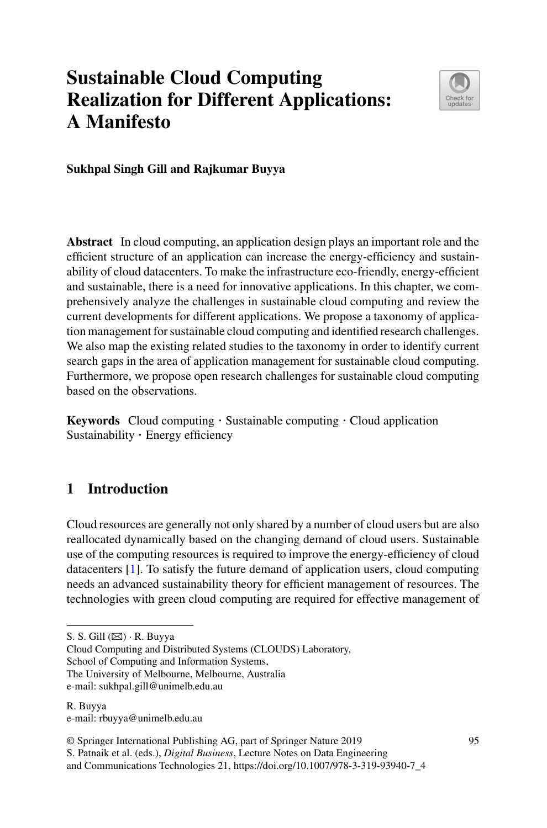# **Sustainable Cloud Computing Realization for Different Applications: A Manifesto**



**Sukhpal Singh Gill and Rajkumar Buyya**

**Abstract** In cloud computing, an application design plays an important role and the efficient structure of an application can increase the energy-efficiency and sustainability of cloud datacenters. To make the infrastructure eco-friendly, energy-efficient and sustainable, there is a need for innovative applications. In this chapter, we comprehensively analyze the challenges in sustainable cloud computing and review the current developments for different applications. We propose a taxonomy of application management for sustainable cloud computing and identified research challenges. We also map the existing related studies to the taxonomy in order to identify current search gaps in the area of application management for sustainable cloud computing. Furthermore, we propose open research challenges for sustainable cloud computing based on the observations.

**Keywords** Cloud computing · Sustainable computing · Cloud application Sustainability · Energy efficiency

# **1 Introduction**

Cloud resources are generally not only shared by a number of cloud users but are also reallocated dynamically based on the changing demand of cloud users. Sustainable use of the computing resources is required to improve the energy-efficiency of cloud datacenters [\[1\]](#page-20-0). To satisfy the future demand of application users, cloud computing needs an advanced sustainability theory for efficient management of resources. The technologies with green cloud computing are required for effective management of

S. S. Gill  $(\boxtimes) \cdot$  R. Buyya

Cloud Computing and Distributed Systems (CLOUDS) Laboratory,

School of Computing and Information Systems,

The University of Melbourne, Melbourne, Australia

e-mail: sukhpal.gill@unimelb.edu.au

R. Buyya e-mail: rbuyya@unimelb.edu.au

© Springer International Publishing AG, part of Springer Nature 2019

S. Patnaik et al. (eds.), *Digital Business*, Lecture Notes on Data Engineering

and Communications Technologies 21, https://doi.org/10.1007/978-3-319-93940-7\_4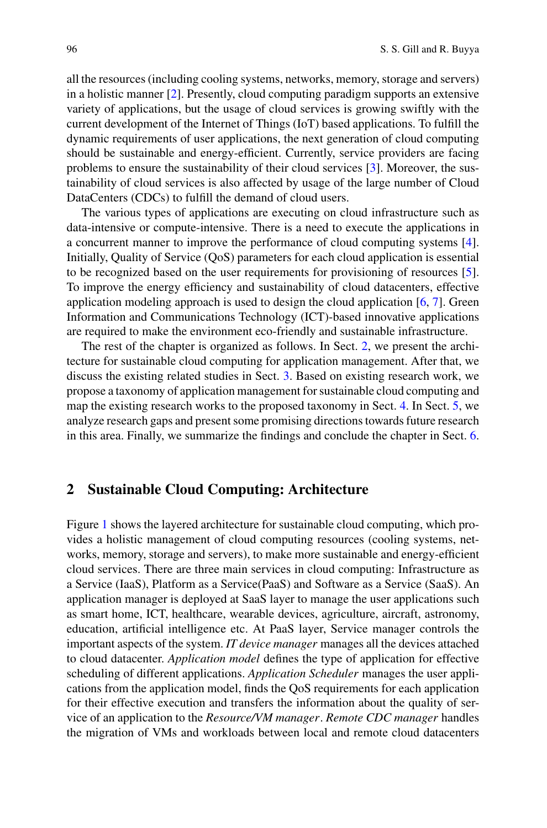all the resources (including cooling systems, networks, memory, storage and servers) in a holistic manner [\[2\]](#page-20-1). Presently, cloud computing paradigm supports an extensive variety of applications, but the usage of cloud services is growing swiftly with the current development of the Internet of Things (IoT) based applications. To fulfill the dynamic requirements of user applications, the next generation of cloud computing should be sustainable and energy-efficient. Currently, service providers are facing problems to ensure the sustainability of their cloud services [\[3\]](#page-20-2). Moreover, the sustainability of cloud services is also affected by usage of the large number of Cloud DataCenters (CDCs) to fulfill the demand of cloud users.

The various types of applications are executing on cloud infrastructure such as data-intensive or compute-intensive. There is a need to execute the applications in a concurrent manner to improve the performance of cloud computing systems [\[4\]](#page-20-3). Initially, Quality of Service (QoS) parameters for each cloud application is essential to be recognized based on the user requirements for provisioning of resources [\[5\]](#page-20-4). To improve the energy efficiency and sustainability of cloud datacenters, effective application modeling approach is used to design the cloud application  $[6, 7]$  $[6, 7]$  $[6, 7]$ . Green Information and Communications Technology (ICT)-based innovative applications are required to make the environment eco-friendly and sustainable infrastructure.

The rest of the chapter is organized as follows. In Sect. [2,](#page-1-0) we present the architecture for sustainable cloud computing for application management. After that, we discuss the existing related studies in Sect. [3.](#page-3-0) Based on existing research work, we propose a taxonomy of application management for sustainable cloud computing and map the existing research works to the proposed taxonomy in Sect. [4.](#page-6-0) In Sect. [5,](#page-15-0) we analyze research gaps and present some promising directions towards future research in this area. Finally, we summarize the findings and conclude the chapter in Sect. [6.](#page-15-0)

#### <span id="page-1-0"></span>**2 Sustainable Cloud Computing: Architecture**

Figure [1](#page-2-0) shows the layered architecture for sustainable cloud computing, which provides a holistic management of cloud computing resources (cooling systems, networks, memory, storage and servers), to make more sustainable and energy-efficient cloud services. There are three main services in cloud computing: Infrastructure as a Service (IaaS), Platform as a Service(PaaS) and Software as a Service (SaaS). An application manager is deployed at SaaS layer to manage the user applications such as smart home, ICT, healthcare, wearable devices, agriculture, aircraft, astronomy, education, artificial intelligence etc. At PaaS layer, Service manager controls the important aspects of the system. *IT device manager* manages all the devices attached to cloud datacenter. *Application model* defines the type of application for effective scheduling of different applications. *Application Scheduler* manages the user applications from the application model, finds the QoS requirements for each application for their effective execution and transfers the information about the quality of service of an application to the *Resource/VM manager*. *Remote CDC manager* handles the migration of VMs and workloads between local and remote cloud datacenters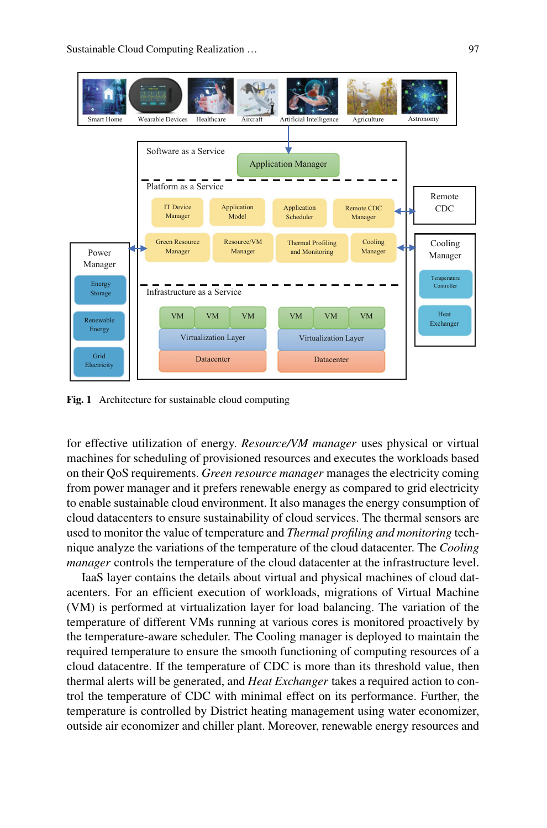

<span id="page-2-0"></span>**Fig. 1** Architecture for sustainable cloud computing

for effective utilization of energy. *Resource/VM manager* uses physical or virtual machines for scheduling of provisioned resources and executes the workloads based on their QoS requirements. *Green resource manager* manages the electricity coming from power manager and it prefers renewable energy as compared to grid electricity to enable sustainable cloud environment. It also manages the energy consumption of cloud datacenters to ensure sustainability of cloud services. The thermal sensors are used to monitor the value of temperature and *Thermal profiling and monitoring* technique analyze the variations of the temperature of the cloud datacenter. The *Cooling manager* controls the temperature of the cloud datacenter at the infrastructure level.

IaaS layer contains the details about virtual and physical machines of cloud datacenters. For an efficient execution of workloads, migrations of Virtual Machine (VM) is performed at virtualization layer for load balancing. The variation of the temperature of different VMs running at various cores is monitored proactively by the temperature-aware scheduler. The Cooling manager is deployed to maintain the required temperature to ensure the smooth functioning of computing resources of a cloud datacentre. If the temperature of CDC is more than its threshold value, then thermal alerts will be generated, and *Heat Exchanger* takes a required action to control the temperature of CDC with minimal effect on its performance. Further, the temperature is controlled by District heating management using water economizer, outside air economizer and chiller plant. Moreover, renewable energy resources and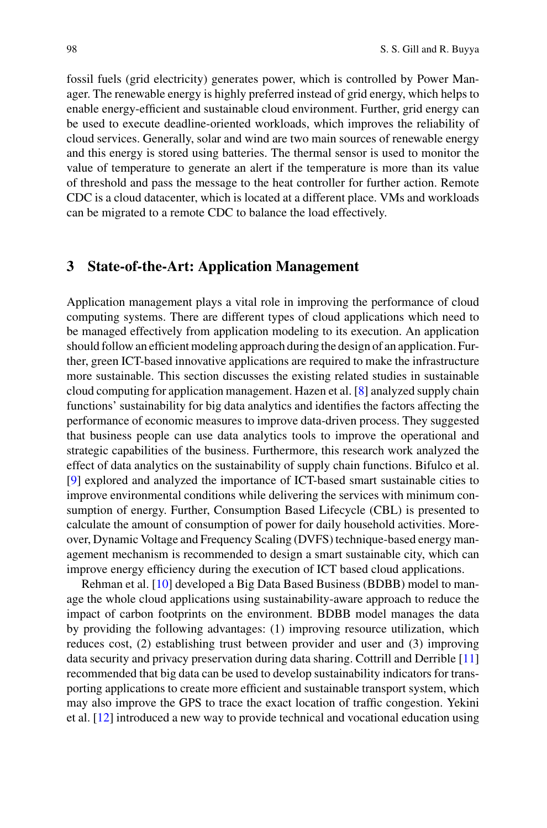fossil fuels (grid electricity) generates power, which is controlled by Power Manager. The renewable energy is highly preferred instead of grid energy, which helps to enable energy-efficient and sustainable cloud environment. Further, grid energy can be used to execute deadline-oriented workloads, which improves the reliability of cloud services. Generally, solar and wind are two main sources of renewable energy and this energy is stored using batteries. The thermal sensor is used to monitor the value of temperature to generate an alert if the temperature is more than its value of threshold and pass the message to the heat controller for further action. Remote CDC is a cloud datacenter, which is located at a different place. VMs and workloads can be migrated to a remote CDC to balance the load effectively.

#### <span id="page-3-0"></span>**3 State-of-the-Art: Application Management**

Application management plays a vital role in improving the performance of cloud computing systems. There are different types of cloud applications which need to be managed effectively from application modeling to its execution. An application should follow an efficient modeling approach during the design of an application. Further, green ICT-based innovative applications are required to make the infrastructure more sustainable. This section discusses the existing related studies in sustainable cloud computing for application management. Hazen et al. [\[8\]](#page-20-7) analyzed supply chain functions' sustainability for big data analytics and identifies the factors affecting the performance of economic measures to improve data-driven process. They suggested that business people can use data analytics tools to improve the operational and strategic capabilities of the business. Furthermore, this research work analyzed the effect of data analytics on the sustainability of supply chain functions. Bifulco et al. [\[9\]](#page-20-8) explored and analyzed the importance of ICT-based smart sustainable cities to improve environmental conditions while delivering the services with minimum consumption of energy. Further, Consumption Based Lifecycle (CBL) is presented to calculate the amount of consumption of power for daily household activities. Moreover, Dynamic Voltage and Frequency Scaling (DVFS) technique-based energy management mechanism is recommended to design a smart sustainable city, which can improve energy efficiency during the execution of ICT based cloud applications.

Rehman et al. [\[10\]](#page-21-0) developed a Big Data Based Business (BDBB) model to manage the whole cloud applications using sustainability-aware approach to reduce the impact of carbon footprints on the environment. BDBB model manages the data by providing the following advantages: (1) improving resource utilization, which reduces cost, (2) establishing trust between provider and user and (3) improving data security and privacy preservation during data sharing. Cottrill and Derrible [\[11\]](#page-21-1) recommended that big data can be used to develop sustainability indicators for transporting applications to create more efficient and sustainable transport system, which may also improve the GPS to trace the exact location of traffic congestion. Yekini et al. [\[12\]](#page-21-2) introduced a new way to provide technical and vocational education using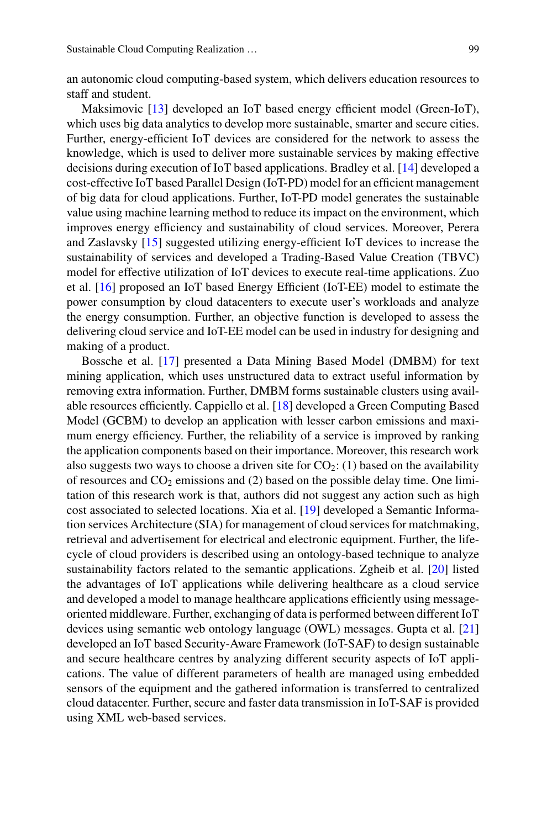an autonomic cloud computing-based system, which delivers education resources to staff and student.

Maksimovic [\[13\]](#page-21-3) developed an IoT based energy efficient model (Green-IoT), which uses big data analytics to develop more sustainable, smarter and secure cities. Further, energy-efficient IoT devices are considered for the network to assess the knowledge, which is used to deliver more sustainable services by making effective decisions during execution of IoT based applications. Bradley et al. [\[14\]](#page-21-4) developed a cost-effective IoT based Parallel Design (IoT-PD) model for an efficient management of big data for cloud applications. Further, IoT-PD model generates the sustainable value using machine learning method to reduce its impact on the environment, which improves energy efficiency and sustainability of cloud services. Moreover, Perera and Zaslavsky [\[15\]](#page-21-5) suggested utilizing energy-efficient IoT devices to increase the sustainability of services and developed a Trading-Based Value Creation (TBVC) model for effective utilization of IoT devices to execute real-time applications. Zuo et al. [\[16\]](#page-21-6) proposed an IoT based Energy Efficient (IoT-EE) model to estimate the power consumption by cloud datacenters to execute user's workloads and analyze the energy consumption. Further, an objective function is developed to assess the delivering cloud service and IoT-EE model can be used in industry for designing and making of a product.

Bossche et al. [\[17\]](#page-21-7) presented a Data Mining Based Model (DMBM) for text mining application, which uses unstructured data to extract useful information by removing extra information. Further, DMBM forms sustainable clusters using available resources efficiently. Cappiello et al. [\[18\]](#page-21-8) developed a Green Computing Based Model (GCBM) to develop an application with lesser carbon emissions and maximum energy efficiency. Further, the reliability of a service is improved by ranking the application components based on their importance. Moreover, this research work also suggests two ways to choose a driven site for  $CO<sub>2</sub>$ : (1) based on the availability of resources and  $CO<sub>2</sub>$  emissions and (2) based on the possible delay time. One limitation of this research work is that, authors did not suggest any action such as high cost associated to selected locations. Xia et al. [\[19\]](#page-21-9) developed a Semantic Information services Architecture (SIA) for management of cloud services for matchmaking, retrieval and advertisement for electrical and electronic equipment. Further, the lifecycle of cloud providers is described using an ontology-based technique to analyze sustainability factors related to the semantic applications. Zgheib et al. [\[20\]](#page-21-10) listed the advantages of IoT applications while delivering healthcare as a cloud service and developed a model to manage healthcare applications efficiently using messageoriented middleware. Further, exchanging of data is performed between different IoT devices using semantic web ontology language (OWL) messages. Gupta et al. [\[21\]](#page-21-11) developed an IoT based Security-Aware Framework (IoT-SAF) to design sustainable and secure healthcare centres by analyzing different security aspects of IoT applications. The value of different parameters of health are managed using embedded sensors of the equipment and the gathered information is transferred to centralized cloud datacenter. Further, secure and faster data transmission in IoT-SAF is provided using XML web-based services.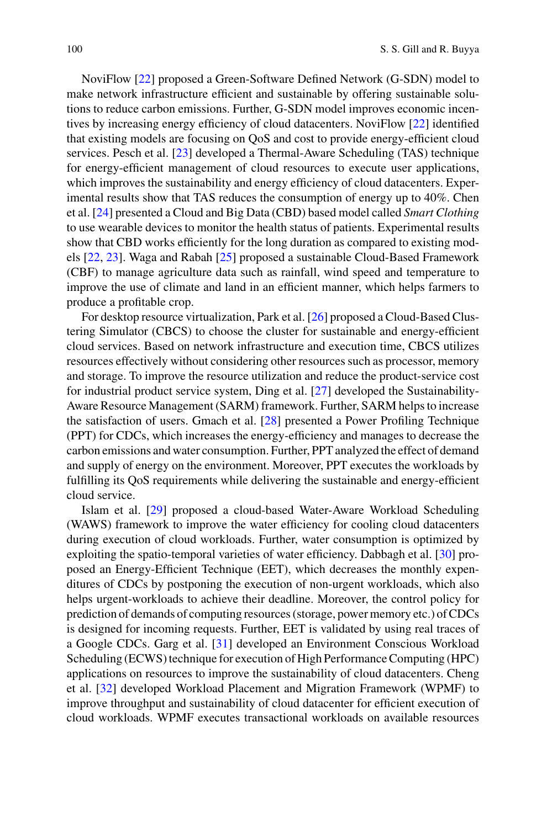NoviFlow [\[22\]](#page-21-12) proposed a Green-Software Defined Network (G-SDN) model to make network infrastructure efficient and sustainable by offering sustainable solutions to reduce carbon emissions. Further, G-SDN model improves economic incentives by increasing energy efficiency of cloud datacenters. NoviFlow [\[22\]](#page-21-12) identified that existing models are focusing on QoS and cost to provide energy-efficient cloud services. Pesch et al. [\[23\]](#page-21-13) developed a Thermal-Aware Scheduling (TAS) technique for energy-efficient management of cloud resources to execute user applications, which improves the sustainability and energy efficiency of cloud datacenters. Experimental results show that TAS reduces the consumption of energy up to 40%. Chen et al. [\[24\]](#page-21-14) presented a Cloud and Big Data (CBD) based model called *Smart Clothing* to use wearable devices to monitor the health status of patients. Experimental results show that CBD works efficiently for the long duration as compared to existing models [\[22,](#page-21-12) [23\]](#page-21-13). Waga and Rabah [\[25\]](#page-21-15) proposed a sustainable Cloud-Based Framework (CBF) to manage agriculture data such as rainfall, wind speed and temperature to improve the use of climate and land in an efficient manner, which helps farmers to produce a profitable crop.

For desktop resource virtualization, Park et al. [\[26\]](#page-21-16) proposed a Cloud-Based Clustering Simulator (CBCS) to choose the cluster for sustainable and energy-efficient cloud services. Based on network infrastructure and execution time, CBCS utilizes resources effectively without considering other resources such as processor, memory and storage. To improve the resource utilization and reduce the product-service cost for industrial product service system, Ding et al. [\[27\]](#page-21-17) developed the Sustainability-Aware Resource Management (SARM) framework. Further, SARM helps to increase the satisfaction of users. Gmach et al. [\[28\]](#page-21-18) presented a Power Profiling Technique (PPT) for CDCs, which increases the energy-efficiency and manages to decrease the carbon emissions and water consumption. Further, PPT analyzed the effect of demand and supply of energy on the environment. Moreover, PPT executes the workloads by fulfilling its QoS requirements while delivering the sustainable and energy-efficient cloud service.

Islam et al. [\[29\]](#page-21-19) proposed a cloud-based Water-Aware Workload Scheduling (WAWS) framework to improve the water efficiency for cooling cloud datacenters during execution of cloud workloads. Further, water consumption is optimized by exploiting the spatio-temporal varieties of water efficiency. Dabbagh et al. [\[30\]](#page-21-20) proposed an Energy-Efficient Technique (EET), which decreases the monthly expenditures of CDCs by postponing the execution of non-urgent workloads, which also helps urgent-workloads to achieve their deadline. Moreover, the control policy for prediction of demands of computing resources (storage, power memory etc.) of CDCs is designed for incoming requests. Further, EET is validated by using real traces of a Google CDCs. Garg et al. [\[31\]](#page-21-21) developed an Environment Conscious Workload Scheduling (ECWS) technique for execution of High Performance Computing (HPC) applications on resources to improve the sustainability of cloud datacenters. Cheng et al. [\[32\]](#page-21-22) developed Workload Placement and Migration Framework (WPMF) to improve throughput and sustainability of cloud datacenter for efficient execution of cloud workloads. WPMF executes transactional workloads on available resources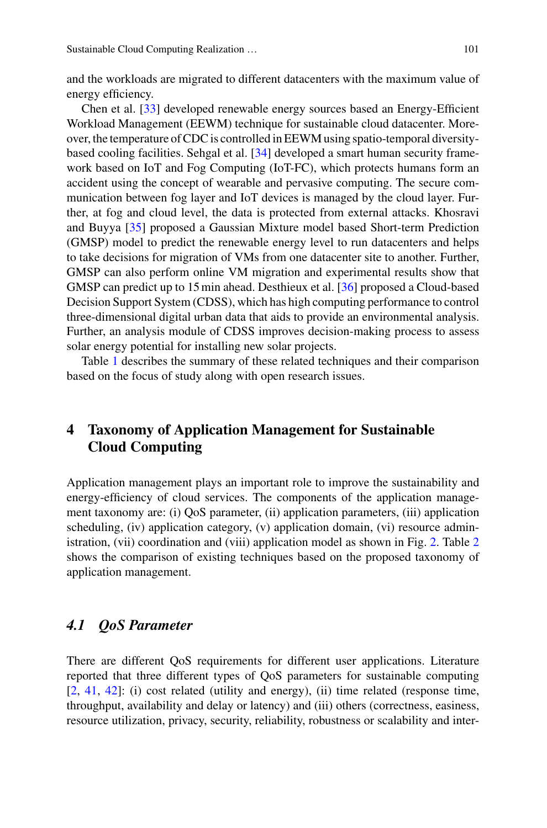and the workloads are migrated to different datacenters with the maximum value of energy efficiency.

Chen et al. [\[33\]](#page-22-0) developed renewable energy sources based an Energy-Efficient Workload Management (EEWM) technique for sustainable cloud datacenter. Moreover, the temperature of CDC is controlled in EEWM using spatio-temporal diversitybased cooling facilities. Sehgal et al. [\[34\]](#page-22-1) developed a smart human security framework based on IoT and Fog Computing (IoT-FC), which protects humans form an accident using the concept of wearable and pervasive computing. The secure communication between fog layer and IoT devices is managed by the cloud layer. Further, at fog and cloud level, the data is protected from external attacks. Khosravi and Buyya [\[35\]](#page-22-2) proposed a Gaussian Mixture model based Short-term Prediction (GMSP) model to predict the renewable energy level to run datacenters and helps to take decisions for migration of VMs from one datacenter site to another. Further, GMSP can also perform online VM migration and experimental results show that GMSP can predict up to 15 min ahead. Desthieux et al. [\[36\]](#page-22-3) proposed a Cloud-based Decision Support System (CDSS), which has high computing performance to control three-dimensional digital urban data that aids to provide an environmental analysis. Further, an analysis module of CDSS improves decision-making process to assess solar energy potential for installing new solar projects.

Table [1](#page-7-0) describes the summary of these related techniques and their comparison based on the focus of study along with open research issues.

## <span id="page-6-0"></span>**4 Taxonomy of Application Management for Sustainable Cloud Computing**

Application management plays an important role to improve the sustainability and energy-efficiency of cloud services. The components of the application management taxonomy are: (i) QoS parameter, (ii) application parameters, (iii) application scheduling, (iv) application category, (v) application domain, (vi) resource administration, (vii) coordination and (viii) application model as shown in Fig. [2.](#page-9-0) Table [2](#page-11-0) shows the comparison of existing techniques based on the proposed taxonomy of application management.

#### *4.1 QoS Parameter*

There are different QoS requirements for different user applications. Literature reported that three different types of QoS parameters for sustainable computing [\[2,](#page-20-1) [41,](#page-22-4) [42\]](#page-22-5): (i) cost related (utility and energy), (ii) time related (response time, throughput, availability and delay or latency) and (iii) others (correctness, easiness, resource utilization, privacy, security, reliability, robustness or scalability and inter-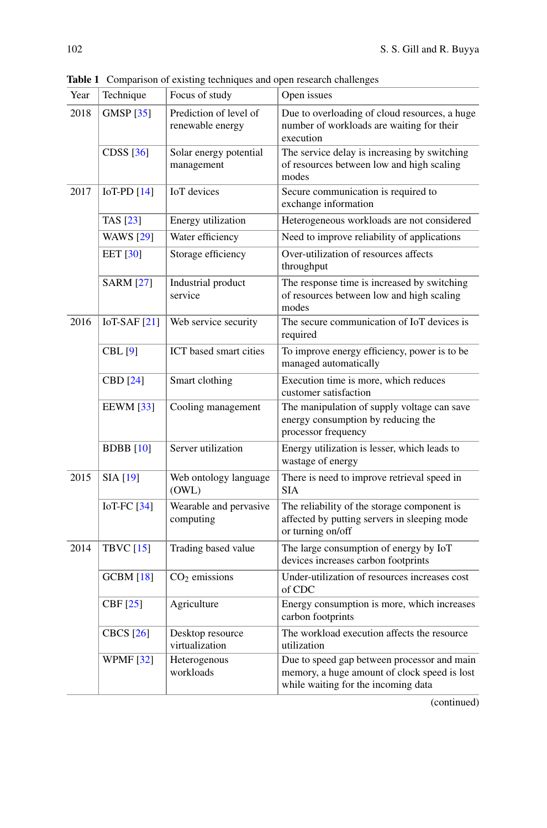<span id="page-7-0"></span>

| Year | Technique        | Focus of study                             | Open issues                                                                                                                        |
|------|------------------|--------------------------------------------|------------------------------------------------------------------------------------------------------------------------------------|
| 2018 | GMSP [35]        | Prediction of level of<br>renewable energy | Due to overloading of cloud resources, a huge<br>number of workloads are waiting for their<br>execution                            |
|      | CDSS [36]        | Solar energy potential<br>management       | The service delay is increasing by switching<br>of resources between low and high scaling<br>modes                                 |
| 2017 | IoT-PD $[14]$    | IoT devices                                | Secure communication is required to<br>exchange information                                                                        |
|      | TAS [23]         | Energy utilization                         | Heterogeneous workloads are not considered                                                                                         |
|      | <b>WAWS</b> [29] | Water efficiency                           | Need to improve reliability of applications                                                                                        |
|      | <b>EET</b> [30]  | Storage efficiency                         | Over-utilization of resources affects<br>throughput                                                                                |
|      | <b>SARM</b> [27] | Industrial product<br>service              | The response time is increased by switching<br>of resources between low and high scaling<br>modes                                  |
| 2016 | IoT-SAF $[21]$   | Web service security                       | The secure communication of IoT devices is<br>required                                                                             |
|      | CBL [9]          | ICT based smart cities                     | To improve energy efficiency, power is to be<br>managed automatically                                                              |
|      | CBD [24]         | Smart clothing                             | Execution time is more, which reduces<br>customer satisfaction                                                                     |
|      | <b>EEWM</b> [33] | Cooling management                         | The manipulation of supply voltage can save<br>energy consumption by reducing the<br>processor frequency                           |
|      | <b>BDBB</b> [10] | Server utilization                         | Energy utilization is lesser, which leads to<br>wastage of energy                                                                  |
| 2015 | SIA [19]         | Web ontology language<br>(OWL)             | There is need to improve retrieval speed in<br><b>SIA</b>                                                                          |
|      | IoT-FC $[34]$    | Wearable and pervasive<br>computing        | The reliability of the storage component is<br>affected by putting servers in sleeping mode<br>or turning on/off                   |
| 2014 | <b>TBVC</b> [15] | Trading based value                        | The large consumption of energy by IoT<br>devices increases carbon footprints                                                      |
|      | <b>GCBM</b> [18] | $CO2$ emissions                            | Under-utilization of resources increases cost<br>of CDC                                                                            |
|      | CBF [25]         | Agriculture                                | Energy consumption is more, which increases<br>carbon footprints                                                                   |
|      | <b>CBCS</b> [26] | Desktop resource<br>virtualization         | The workload execution affects the resource<br>utilization                                                                         |
|      | <b>WPMF</b> [32] | Heterogenous<br>workloads                  | Due to speed gap between processor and main<br>memory, a huge amount of clock speed is lost<br>while waiting for the incoming data |

**Table 1** Comparison of existing techniques and open research challenges

(continued)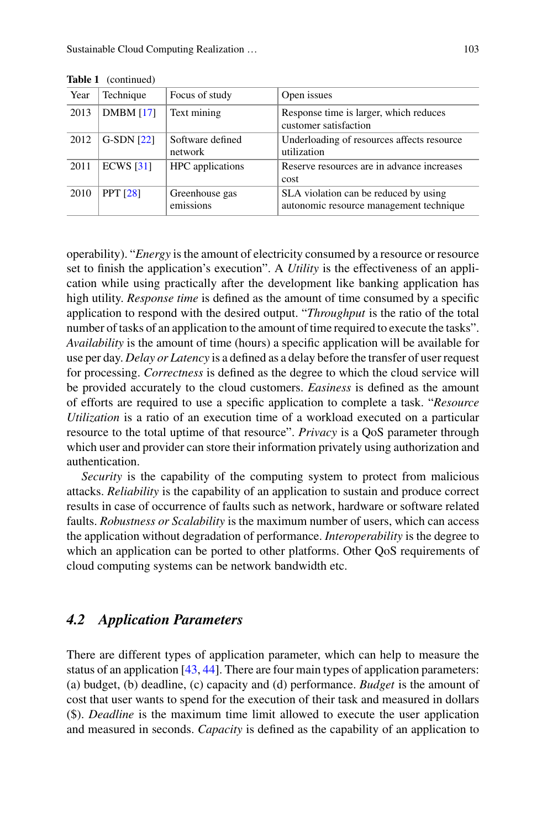| Year | Technique        | Focus of study              | Open issues                                                                      |
|------|------------------|-----------------------------|----------------------------------------------------------------------------------|
| 2013 | <b>DMBM</b> [17] | Text mining                 | Response time is larger, which reduces<br>customer satisfaction                  |
| 2012 | $G-SDN$ [22]     | Software defined<br>network | Underloading of resources affects resource<br>utilization                        |
| 2011 | ECWS $[31]$      | HPC applications            | Reserve resources are in advance increases<br>cost                               |
| 2010 | <b>PPT</b> [28]  | Greenhouse gas<br>emissions | SLA violation can be reduced by using<br>autonomic resource management technique |

**Table 1** (continued)

operability). "*Energy* is the amount of electricity consumed by a resource or resource set to finish the application's execution". A *Utility* is the effectiveness of an application while using practically after the development like banking application has high utility. *Response time* is defined as the amount of time consumed by a specific application to respond with the desired output. "*Throughput* is the ratio of the total number of tasks of an application to the amount of time required to execute the tasks". *Availability* is the amount of time (hours) a specific application will be available for use per day. *Delay or Latency* is a defined as a delay before the transfer of user request for processing. *Correctness* is defined as the degree to which the cloud service will be provided accurately to the cloud customers. *Easiness* is defined as the amount of efforts are required to use a specific application to complete a task. "*Resource Utilization* is a ratio of an execution time of a workload executed on a particular resource to the total uptime of that resource". *Privacy* is a QoS parameter through which user and provider can store their information privately using authorization and authentication.

*Security* is the capability of the computing system to protect from malicious attacks. *Reliability* is the capability of an application to sustain and produce correct results in case of occurrence of faults such as network, hardware or software related faults. *Robustness or Scalability* is the maximum number of users, which can access the application without degradation of performance. *Interoperability* is the degree to which an application can be ported to other platforms. Other QoS requirements of cloud computing systems can be network bandwidth etc.

#### *4.2 Application Parameters*

There are different types of application parameter, which can help to measure the status of an application [\[43,](#page-22-6) [44\]](#page-22-7). There are four main types of application parameters: (a) budget, (b) deadline, (c) capacity and (d) performance. *Budget* is the amount of cost that user wants to spend for the execution of their task and measured in dollars (\$). *Deadline* is the maximum time limit allowed to execute the user application and measured in seconds. *Capacity* is defined as the capability of an application to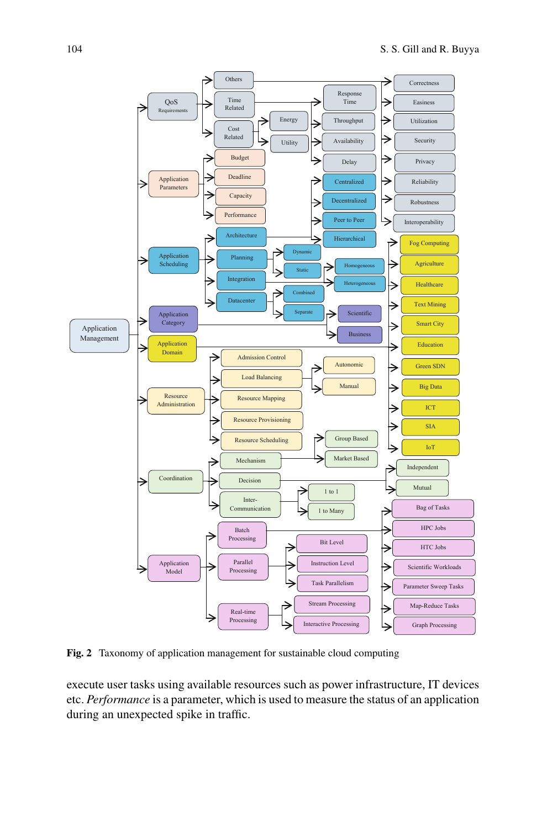

<span id="page-9-0"></span>**Fig. 2** Taxonomy of application management for sustainable cloud computing

execute user tasks using available resources such as power infrastructure, IT devices etc. *Performance* is a parameter, which is used to measure the status of an application during an unexpected spike in traffic.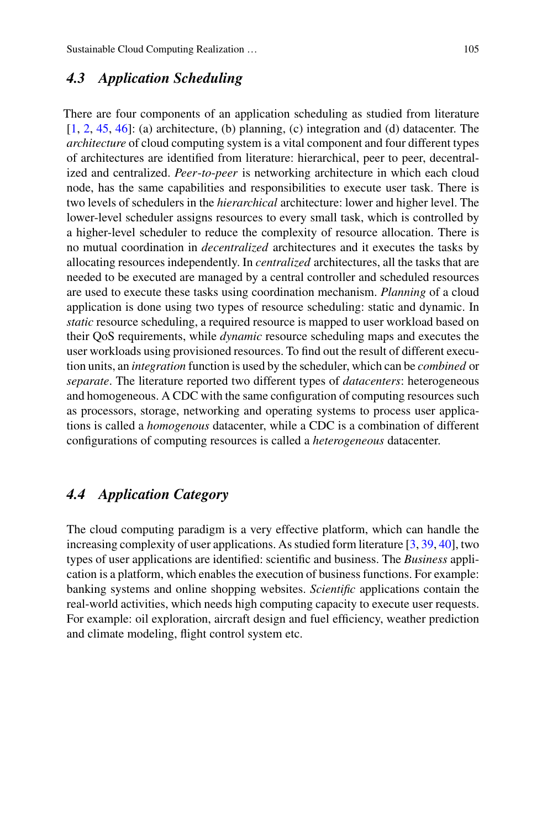#### *4.3 Application Scheduling*

There are four components of an application scheduling as studied from literature [\[1,](#page-20-0) [2,](#page-20-1) [45,](#page-22-8) [46\]](#page-22-9): (a) architecture, (b) planning, (c) integration and (d) datacenter. The *architecture* of cloud computing system is a vital component and four different types of architectures are identified from literature: hierarchical, peer to peer, decentralized and centralized. *Peer*-*to*-*peer* is networking architecture in which each cloud node, has the same capabilities and responsibilities to execute user task. There is two levels of schedulers in the *hierarchical* architecture: lower and higher level. The lower-level scheduler assigns resources to every small task, which is controlled by a higher-level scheduler to reduce the complexity of resource allocation. There is no mutual coordination in *decentralized* architectures and it executes the tasks by allocating resources independently. In *centralized* architectures, all the tasks that are needed to be executed are managed by a central controller and scheduled resources are used to execute these tasks using coordination mechanism. *Planning* of a cloud application is done using two types of resource scheduling: static and dynamic. In *static* resource scheduling, a required resource is mapped to user workload based on their QoS requirements, while *dynamic* resource scheduling maps and executes the user workloads using provisioned resources. To find out the result of different execution units, an *integration* function is used by the scheduler, which can be *combined* or *separate*. The literature reported two different types of *datacenters*: heterogeneous and homogeneous. A CDC with the same configuration of computing resources such as processors, storage, networking and operating systems to process user applications is called a *homogenous* datacenter, while a CDC is a combination of different configurations of computing resources is called a *heterogeneous* datacenter.

## *4.4 Application Category*

The cloud computing paradigm is a very effective platform, which can handle the increasing complexity of user applications. As studied form literature [\[3,](#page-20-2) [39,](#page-22-10) [40\]](#page-22-11), two types of user applications are identified: scientific and business. The *Business* application is a platform, which enables the execution of business functions. For example: banking systems and online shopping websites. *Scientific* applications contain the real-world activities, which needs high computing capacity to execute user requests. For example: oil exploration, aircraft design and fuel efficiency, weather prediction and climate modeling, flight control system etc.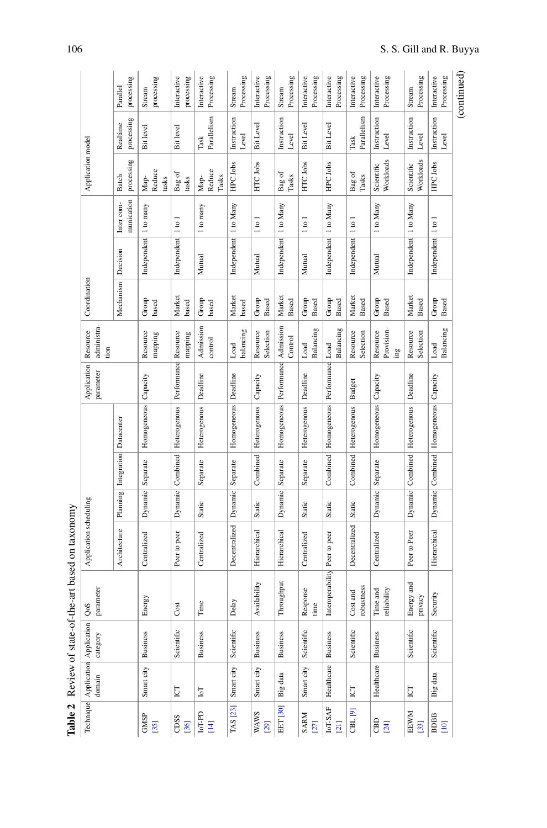<span id="page-11-0"></span>

|                             |            |                                               | Table 2 Review of state-of-the-art based on taxonomy |                        |                  |                                 |                                        |                          |                                                              |                       |                       |                          |                                   |                        |                           |
|-----------------------------|------------|-----------------------------------------------|------------------------------------------------------|------------------------|------------------|---------------------------------|----------------------------------------|--------------------------|--------------------------------------------------------------|-----------------------|-----------------------|--------------------------|-----------------------------------|------------------------|---------------------------|
|                             | domain     | Technique Application Application<br>category | parameter<br>QoS                                     | Application scheduling |                  |                                 |                                        | Application<br>parameter | administra-<br>Resource<br>$\lim_{\epsilon \to 0}$           | Coordination          |                       |                          | Application model                 |                        |                           |
|                             |            |                                               |                                                      | Architecture           |                  | Planning Integration Datacenter |                                        |                          |                                                              | Mechanism Decision    |                       | munication<br>Inter com- | processing<br>Batch               | processing<br>Realtime | processing<br>Parallel    |
| <b>GMSP</b><br>[35]         | Smart city | <b>Business</b>                               | Energy                                               | Centralized            | Dynamic Separate |                                 | Homogeneous Capacity                   |                          | Resource<br>mapping                                          | Group<br>based        | Independent 1 to many |                          | Reduce<br>tasks<br>$\mathbf{Map}$ | Bit level              | processing<br>Stream      |
| CDSS<br>[36]                | ICT        | Scientific                                    | Cost                                                 | Peer to peer           |                  |                                 | Dynamic Combined Heterogenous          | Performance<br>Resource  | mapping                                                      | Market<br>based       | Independent 1 to      |                          | Bag of<br>tasks                   | Bit level              | Interactive<br>processing |
| $IoT-PD$<br>$\overline{14}$ | ΙoΤ        | <b>Business</b>                               | Time                                                 | Centralized            | Static           | Separate                        | Heterogenous Deadline                  |                          | Admission<br>control                                         | Group<br>based        | Mutual                | 1 to many                | Reduce<br>Tasks<br>$\mathbf{Map}$ | Parallelism<br>Task    | Processing<br>Interactive |
| TAS [23]                    | Smart city | Scientific                                    | Delay                                                | Decentralized          | Dynamic Separate |                                 | Homogeneous Deadline                   |                          | balancing<br>Load                                            | Market<br>based       | Independent 1 to Many |                          | HPC Jobs                          | Instruction<br>Level   | Processing<br>Stream      |
| <b>WAWS</b><br>[29]         | Smart city | <b>Business</b>                               | Availability                                         | Hierarchical           | Static           |                                 | Combined Heterogenous Capacity         |                          | Resource<br>Selection                                        | Group<br><b>Based</b> | Mutual                | 1 to 1                   | HTC Jobs                          | Bit Level              | Processing<br>Interactive |
| <b>EET</b> [30]             | Big data   | <b>Business</b>                               | Throughput                                           | Hierarchical           | Dynamic Separate |                                 | Homogeneous Performance Admission      |                          | Control                                                      | Market<br>Based       | Independent 1 to Many |                          | Bag of<br>Tasks                   | Instruction<br>Level   | Processing<br>Stream      |
| SARM<br>$[2]$               | Smart city | Scientific                                    | Response<br>time                                     | Centralized            | Static           | Separate                        | Heterogenous                           | Deadline                 | Balancing<br>Load                                            | Group<br><b>Based</b> | Mutual                | $\frac{1}{2}$            | HTC Jobs                          | Bit Level              | Processing<br>Interactive |
| IoT-SAF<br>[21]             | Healthcare | Business                                      | Interoperability Peer to peer                        |                        | Static           | Combined                        | Homogeneous                            | Performance Load         | Balancing                                                    | Group<br><b>Based</b> | Independent 1 to Many |                          | HPC Jobs                          | Bit Level              | Processing<br>Interactive |
| CBL[9]                      | E          | Scientific                                    | robustness<br>Cost and                               | Decentralized          | Static           |                                 | Combined Heterogenous                  | <b>Budget</b>            | Resource<br>Selection                                        | Market<br>Based       | Independent   1 to 1  |                          | Bag of<br>Tasks                   | Parallelism<br>Task    | Processing<br>Interactive |
| $\frac{1}{2}$               | Healthcare | <b>Business</b>                               | Time and<br>reliability                              | Centralized            | Dynamic Separate |                                 | Homogeneous Capacity                   |                          | Provision-<br>Resource<br>$\mathbf{m}^{\alpha}_{\mathbf{c}}$ | Group<br><b>Based</b> | Mutual                | 1 to Many                | Workloads<br>Scientific           | Instruction<br>Level   | Processing<br>Interactive |
| <b>EEWM</b><br>$[33]$       | <b>E</b>   | Scientific                                    | Energy and<br>privacy                                | Peer to Peer           |                  |                                 | Dynamic Combined Heterogenous Deadline |                          | Resource<br>Selection                                        | Market<br>Based       | Independent 1 to Many |                          | Scientific<br>Workloads           | Instruction<br>Level   | Processing<br>Stream      |
| <b>BDBB</b><br>[10]         | Big data   | Scientific                                    | Security                                             | Hierarchical           |                  |                                 | Dynamic Combined Homogeneous Capacity  |                          | Balancing<br>Load                                            | Group<br><b>Based</b> | Independent   1 to 1  |                          | HPC Jobs                          | Instruction<br>Level   | Processing<br>Interactive |
|                             |            |                                               |                                                      |                        |                  |                                 |                                        |                          |                                                              |                       |                       |                          |                                   |                        | (continued)               |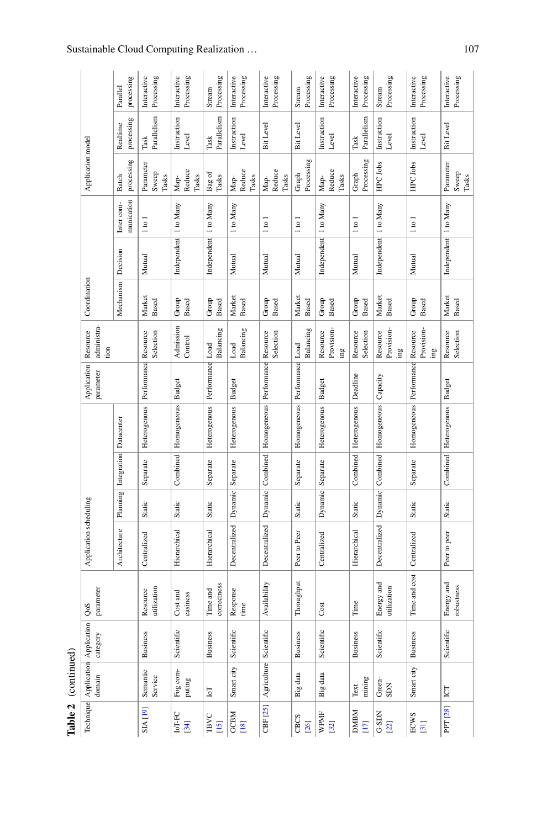Table 2 (continued)

|                                                               | Table 2 (continued) |                                               |                             |                        |                  |                                 |                                                   |                          |                                          |                       |                       |                          |                                                              |                            |                           |
|---------------------------------------------------------------|---------------------|-----------------------------------------------|-----------------------------|------------------------|------------------|---------------------------------|---------------------------------------------------|--------------------------|------------------------------------------|-----------------------|-----------------------|--------------------------|--------------------------------------------------------------|----------------------------|---------------------------|
|                                                               | domain              | Technique Application Application<br>category | parameter<br>QoS            | Application scheduling |                  |                                 |                                                   | Application<br>parameter | administra-<br>Resource<br>tion          | Coordination          |                       |                          | Application model                                            |                            |                           |
|                                                               |                     |                                               |                             | Architecture           |                  | Planning Integration Datacenter |                                                   |                          |                                          | Mechanism             | Decision              | munication<br>Inter com- | processing<br>Batch                                          | processing<br>Realtime     | processing<br>Parallel    |
| <b>SIA</b> [19]                                               | Semantic<br>Service | <b>Business</b>                               | utilization<br>Resource     | Centralized            | Static           | Separate                        | Heterogenous Performance Resource                 |                          | Selection                                | Market<br>Based       | Mutual                | 1 to 1                   | Parameter<br>Sweep<br>Tasks                                  | Parallelism<br>$\rm{Task}$ | Interactive<br>Processing |
| <b>IoT-FC</b><br>$\mathbf{R}$                                 | Fog com-<br>puting  | Scientific                                    | Cost and<br>easiness        | Hierarchical           | Static           |                                 | Combined   Homogeneous   Budget                   |                          | Admission<br>Control                     | Group<br>Based        | Independent 1 to Many |                          | Reduce<br>Tasks<br>$\mathbf{Map}$                            | Instruction<br>Level       | Interactive<br>Processing |
| TBVC<br>[15]                                                  | $_{\rm{IoT}}$       | <b>Business</b>                               | correctness<br>Time and     | Hierarchical           | Static           | Separate                        | Heterogenous Performance Load                     |                          | Balancing                                | Group<br>Based        | Independent 1 to Many |                          | Bag of<br>Tasks                                              | Parallelism<br>$\rm Task$  | Processing<br>Stream      |
| GCBM<br>[18]                                                  | Smart city          | Scientific                                    | Response<br>time            | Decentralized          | Dynamic Separate |                                 | Heterogenous                                      | <b>Budget</b>            | Balancing<br>$_{\rm Load}$               | Market<br>Based       | Mutual                | 1 to Many                | Reduce<br>Tasks<br>$\mathbf{Map}$                            | Instruction<br>Level       | Interactive<br>Processing |
| CBF [25]                                                      | Agriculture         | Scientific                                    | Availability                | Decentralized          |                  |                                 | Dynamic Combined Homogeneous Performance Resource |                          | Selection                                | Group<br><b>Based</b> | Mutual                | 1001                     | Reduce<br>Tasks<br>$\ensuremath{\mathsf{Map}\xspace}\xspace$ | Bit Level                  | Interactive<br>Processing |
| CBCS<br>$[26]$                                                | Big data            | <b>Business</b>                               | Throughput                  | Peer to Peer           | Static           | Separate                        | Homogeneous Performance Load                      |                          | Balancing                                | Market<br>Based       | Mutual                | 1 to 1                   | Processing<br>Graph                                          | Bit Level                  | Processing<br>Stream      |
| WPMF<br>$[32]$                                                | Big data            | Scientific                                    | Cost                        | Centralized            | Dynamic Separate |                                 | Heterogenous                                      | <b>Budget</b>            | Provision-<br>Resource<br>eg<br>E.       | Group<br>Based        | Independent 1 to Many |                          | Reduce<br>Tasks<br>$\text{Map}$                              | Instruction<br>Level       | Interactive<br>Processing |
| <b>DMBM</b><br>$\begin{bmatrix} 1 & 1 \\ 1 & 1 \end{bmatrix}$ | mining<br>Text      | <b>Business</b>                               | Time                        | Hierarchical           | Static           |                                 | Combined Heterogenous                             | Deadline                 | Resource<br>Selection                    | Group<br><b>Based</b> | Mutual                | 1001                     | Processing<br>Graph                                          | Parallelism<br>Task        | Interactive<br>Processing |
| G-SDN<br>$\boxed{2}$                                          | Gren- $SDN$         | Scientific                                    | Energy and<br>utilization   | Decentralized          |                  |                                 | Dynamic Combined Homogeneous Capacity             |                          | Provision-<br>Resource<br>$\mathbf{m}$ g | Market<br>Based       | Independent 1 to Many |                          | HPC Jobs                                                     | Instruction<br>Level       | Processing<br>Stream      |
| $ECWS$<br>[31]                                                | Smart city          | <b>Business</b>                               | Time and cost   Centralized |                        | Static           | Separate                        | Homogeneous Performance Resource                  |                          | Provision-<br>ەم.<br>E                   | Group<br>Based        | Mutual                | 1 to 1                   | HPC Jobs                                                     | Instruction<br>Level       | Interactive<br>Processing |
| PPT [28]                                                      | ICT                 | Scientific                                    | Energy and<br>robustness    | Peer to peer           | Static           |                                 | Combined   Heterogenous   Budget                  |                          | Resource<br>Selection                    | Market<br>Based       | Independent 1 to Many |                          | Parameter<br>Sweep<br>Tasks                                  | Bit Level                  | Interactive<br>Processing |

## Sustainable Cloud Computing Realization … 107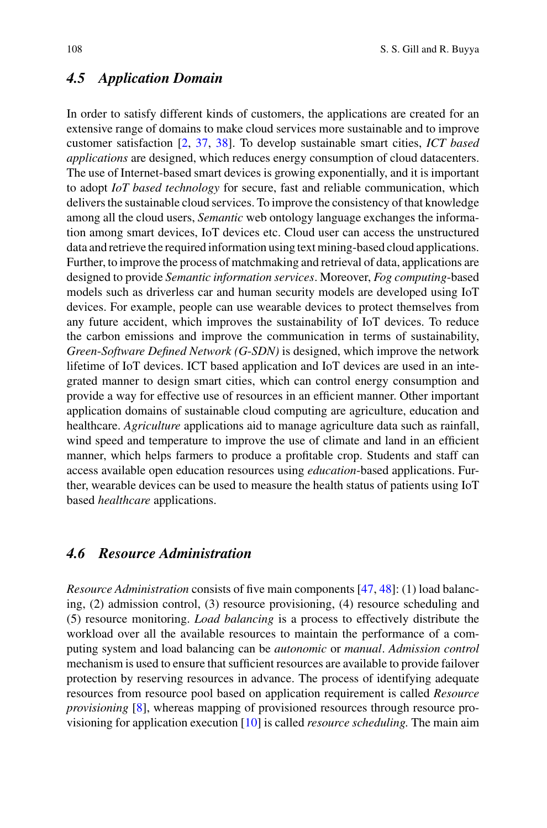#### *4.5 Application Domain*

In order to satisfy different kinds of customers, the applications are created for an extensive range of domains to make cloud services more sustainable and to improve customer satisfaction [\[2,](#page-20-1) [37,](#page-22-12) [38\]](#page-22-13). To develop sustainable smart cities, *ICT based applications* are designed, which reduces energy consumption of cloud datacenters. The use of Internet-based smart devices is growing exponentially, and it is important to adopt *IoT based technology* for secure, fast and reliable communication, which delivers the sustainable cloud services. To improve the consistency of that knowledge among all the cloud users, *Semantic* web ontology language exchanges the information among smart devices, IoT devices etc. Cloud user can access the unstructured data and retrieve the required information using text mining-based cloud applications. Further, to improve the process of matchmaking and retrieval of data, applications are designed to provide *Semantic information services*. Moreover, *Fog computing*-based models such as driverless car and human security models are developed using IoT devices. For example, people can use wearable devices to protect themselves from any future accident, which improves the sustainability of IoT devices. To reduce the carbon emissions and improve the communication in terms of sustainability, *Green*-*Software Defined Network (G*-*SDN)* is designed, which improve the network lifetime of IoT devices. ICT based application and IoT devices are used in an integrated manner to design smart cities, which can control energy consumption and provide a way for effective use of resources in an efficient manner. Other important application domains of sustainable cloud computing are agriculture, education and healthcare. *Agriculture* applications aid to manage agriculture data such as rainfall, wind speed and temperature to improve the use of climate and land in an efficient manner, which helps farmers to produce a profitable crop. Students and staff can access available open education resources using *education*-based applications. Further, wearable devices can be used to measure the health status of patients using IoT based *healthcare* applications.

## *4.6 Resource Administration*

*Resource Administration* consists of five main components [\[47,](#page-22-14) [48\]](#page-22-15): (1) load balancing, (2) admission control, (3) resource provisioning, (4) resource scheduling and (5) resource monitoring. *Load balancing* is a process to effectively distribute the workload over all the available resources to maintain the performance of a computing system and load balancing can be *autonomic* or *manual*. *Admission control* mechanism is used to ensure that sufficient resources are available to provide failover protection by reserving resources in advance. The process of identifying adequate resources from resource pool based on application requirement is called *Resource provisioning* [\[8\]](#page-20-7), whereas mapping of provisioned resources through resource provisioning for application execution [\[10\]](#page-21-0) is called *resource scheduling.* The main aim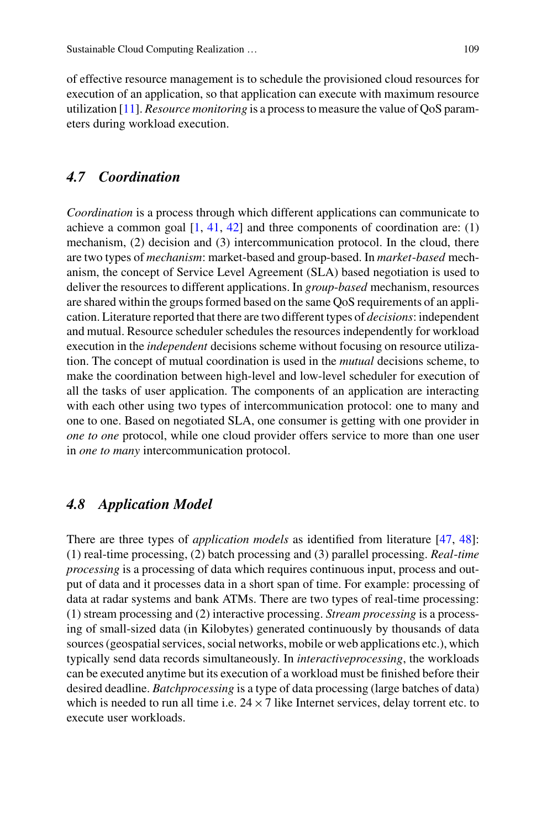of effective resource management is to schedule the provisioned cloud resources for execution of an application, so that application can execute with maximum resource utilization [\[11\]](#page-21-1). *Resource monitoring* is a process to measure the value of QoS parameters during workload execution.

#### *4.7 Coordination*

*Coordination* is a process through which different applications can communicate to achieve a common goal  $[1, 41, 42]$  $[1, 41, 42]$  $[1, 41, 42]$  $[1, 41, 42]$  $[1, 41, 42]$  and three components of coordination are: (1) mechanism, (2) decision and (3) intercommunication protocol. In the cloud, there are two types of *mechanism*: market-based and group-based. In *market*-*based* mechanism, the concept of Service Level Agreement (SLA) based negotiation is used to deliver the resources to different applications. In *group*-*based* mechanism, resources are shared within the groups formed based on the same QoS requirements of an application. Literature reported that there are two different types of *decisions*: independent and mutual. Resource scheduler schedules the resources independently for workload execution in the *independent* decisions scheme without focusing on resource utilization. The concept of mutual coordination is used in the *mutual* decisions scheme, to make the coordination between high-level and low-level scheduler for execution of all the tasks of user application. The components of an application are interacting with each other using two types of intercommunication protocol: one to many and one to one. Based on negotiated SLA, one consumer is getting with one provider in *one to one* protocol, while one cloud provider offers service to more than one user in *one to many* intercommunication protocol.

#### *4.8 Application Model*

There are three types of *application models* as identified from literature [\[47,](#page-22-14) [48\]](#page-22-15): (1) real-time processing, (2) batch processing and (3) parallel processing. *Real*-*time processing* is a processing of data which requires continuous input, process and output of data and it processes data in a short span of time. For example: processing of data at radar systems and bank ATMs. There are two types of real-time processing: (1) stream processing and (2) interactive processing. *Stream processing* is a processing of small-sized data (in Kilobytes) generated continuously by thousands of data sources (geospatial services, social networks, mobile or web applications etc.), which typically send data records simultaneously. In *interactiveprocessing*, the workloads can be executed anytime but its execution of a workload must be finished before their desired deadline. *Batchprocessing* is a type of data processing (large batches of data) which is needed to run all time i.e.  $24 \times 7$  like Internet services, delay torrent etc. to execute user workloads.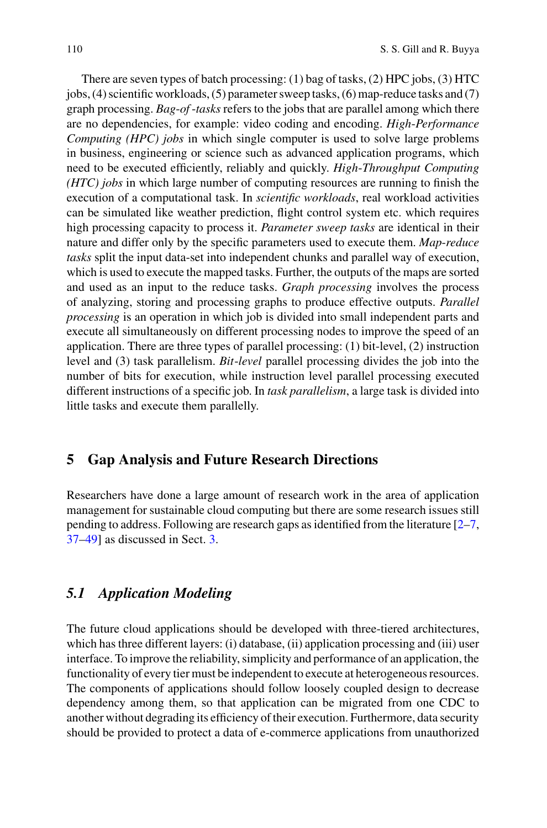There are seven types of batch processing: (1) bag of tasks, (2) HPC jobs, (3) HTC jobs, (4) scientific workloads, (5) parameter sweep tasks, (6) map-reduce tasks and (7) graph processing. *Bag*-*of* -*tasks* refers to the jobs that are parallel among which there are no dependencies, for example: video coding and encoding. *High*-*Performance Computing (HPC) jobs* in which single computer is used to solve large problems in business, engineering or science such as advanced application programs, which need to be executed efficiently, reliably and quickly. *High*-*Throughput Computing (HTC) jobs* in which large number of computing resources are running to finish the execution of a computational task. In *scientific workloads*, real workload activities can be simulated like weather prediction, flight control system etc. which requires high processing capacity to process it. *Parameter sweep tasks* are identical in their nature and differ only by the specific parameters used to execute them. *Map*-*reduce tasks* split the input data-set into independent chunks and parallel way of execution, which is used to execute the mapped tasks. Further, the outputs of the maps are sorted and used as an input to the reduce tasks. *Graph processing* involves the process of analyzing, storing and processing graphs to produce effective outputs. *Parallel processing* is an operation in which job is divided into small independent parts and execute all simultaneously on different processing nodes to improve the speed of an application. There are three types of parallel processing: (1) bit-level, (2) instruction level and (3) task parallelism. *Bit*-*level* parallel processing divides the job into the number of bits for execution, while instruction level parallel processing executed different instructions of a specific job. In *task parallelism*, a large task is divided into little tasks and execute them parallelly.

# <span id="page-15-0"></span>**5 Gap Analysis and Future Research Directions**

Researchers have done a large amount of research work in the area of application management for sustainable cloud computing but there are some research issues still pending to address. Following are research gaps as identified from the literature [\[2–](#page-20-1)[7,](#page-20-6) [37–](#page-22-12)[49\]](#page-22-16) as discussed in Sect. [3.](#page-3-0)

#### *5.1 Application Modeling*

The future cloud applications should be developed with three-tiered architectures, which has three different layers: (i) database, (ii) application processing and (iii) user interface. To improve the reliability, simplicity and performance of an application, the functionality of every tier must be independent to execute at heterogeneous resources. The components of applications should follow loosely coupled design to decrease dependency among them, so that application can be migrated from one CDC to another without degrading its efficiency of their execution. Furthermore, data security should be provided to protect a data of e-commerce applications from unauthorized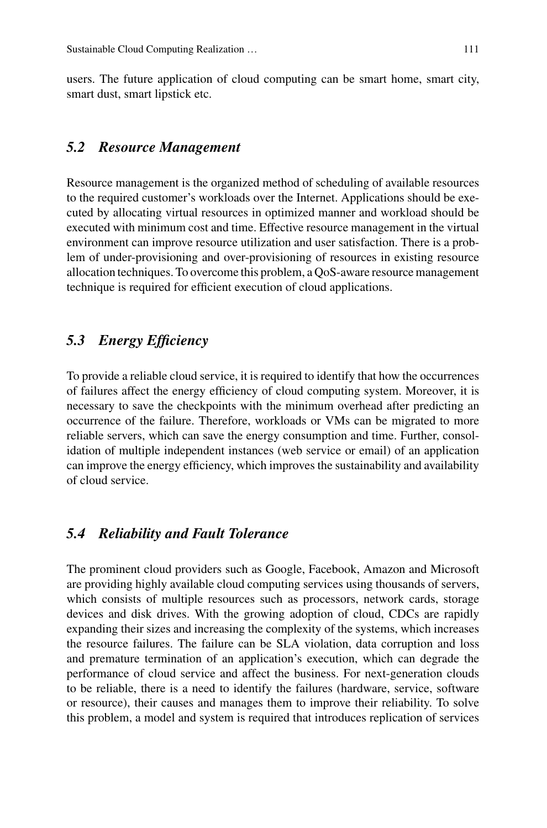users. The future application of cloud computing can be smart home, smart city, smart dust, smart lipstick etc.

#### *5.2 Resource Management*

Resource management is the organized method of scheduling of available resources to the required customer's workloads over the Internet. Applications should be executed by allocating virtual resources in optimized manner and workload should be executed with minimum cost and time. Effective resource management in the virtual environment can improve resource utilization and user satisfaction. There is a problem of under-provisioning and over-provisioning of resources in existing resource allocation techniques. To overcome this problem, a QoS-aware resource management technique is required for efficient execution of cloud applications.

### *5.3 Energy Efficiency*

To provide a reliable cloud service, it is required to identify that how the occurrences of failures affect the energy efficiency of cloud computing system. Moreover, it is necessary to save the checkpoints with the minimum overhead after predicting an occurrence of the failure. Therefore, workloads or VMs can be migrated to more reliable servers, which can save the energy consumption and time. Further, consolidation of multiple independent instances (web service or email) of an application can improve the energy efficiency, which improves the sustainability and availability of cloud service.

#### *5.4 Reliability and Fault Tolerance*

The prominent cloud providers such as Google, Facebook, Amazon and Microsoft are providing highly available cloud computing services using thousands of servers, which consists of multiple resources such as processors, network cards, storage devices and disk drives. With the growing adoption of cloud, CDCs are rapidly expanding their sizes and increasing the complexity of the systems, which increases the resource failures. The failure can be SLA violation, data corruption and loss and premature termination of an application's execution, which can degrade the performance of cloud service and affect the business. For next-generation clouds to be reliable, there is a need to identify the failures (hardware, service, software or resource), their causes and manages them to improve their reliability. To solve this problem, a model and system is required that introduces replication of services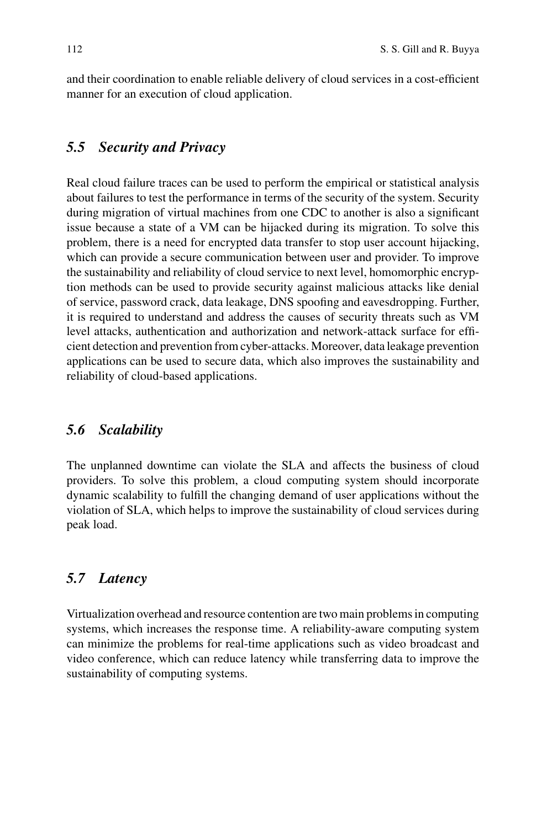and their coordination to enable reliable delivery of cloud services in a cost-efficient manner for an execution of cloud application.

#### *5.5 Security and Privacy*

Real cloud failure traces can be used to perform the empirical or statistical analysis about failures to test the performance in terms of the security of the system. Security during migration of virtual machines from one CDC to another is also a significant issue because a state of a VM can be hijacked during its migration. To solve this problem, there is a need for encrypted data transfer to stop user account hijacking, which can provide a secure communication between user and provider. To improve the sustainability and reliability of cloud service to next level, homomorphic encryption methods can be used to provide security against malicious attacks like denial of service, password crack, data leakage, DNS spoofing and eavesdropping. Further, it is required to understand and address the causes of security threats such as VM level attacks, authentication and authorization and network-attack surface for efficient detection and prevention from cyber-attacks. Moreover, data leakage prevention applications can be used to secure data, which also improves the sustainability and reliability of cloud-based applications.

#### *5.6 Scalability*

The unplanned downtime can violate the SLA and affects the business of cloud providers. To solve this problem, a cloud computing system should incorporate dynamic scalability to fulfill the changing demand of user applications without the violation of SLA, which helps to improve the sustainability of cloud services during peak load.

#### *5.7 Latency*

Virtualization overhead and resource contention are two main problems in computing systems, which increases the response time. A reliability-aware computing system can minimize the problems for real-time applications such as video broadcast and video conference, which can reduce latency while transferring data to improve the sustainability of computing systems.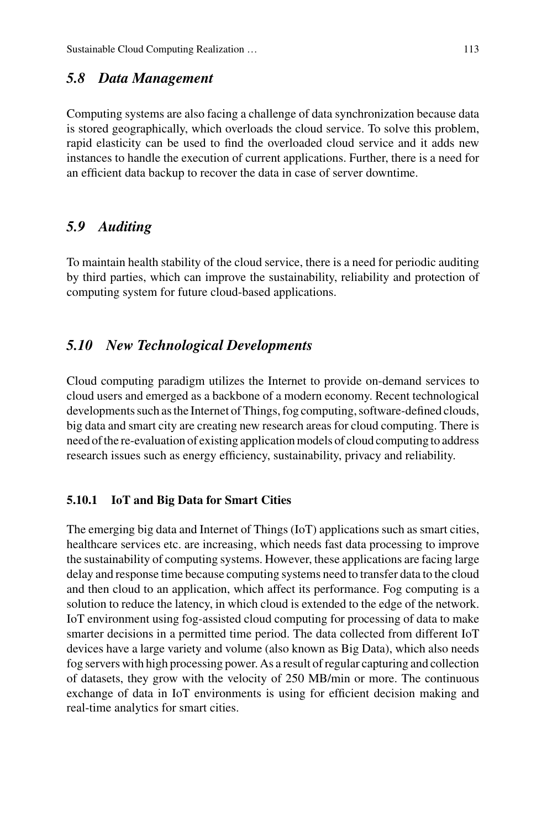#### *5.8 Data Management*

Computing systems are also facing a challenge of data synchronization because data is stored geographically, which overloads the cloud service. To solve this problem, rapid elasticity can be used to find the overloaded cloud service and it adds new instances to handle the execution of current applications. Further, there is a need for an efficient data backup to recover the data in case of server downtime.

## *5.9 Auditing*

To maintain health stability of the cloud service, there is a need for periodic auditing by third parties, which can improve the sustainability, reliability and protection of computing system for future cloud-based applications.

### *5.10 New Technological Developments*

Cloud computing paradigm utilizes the Internet to provide on-demand services to cloud users and emerged as a backbone of a modern economy. Recent technological developments such as the Internet of Things, fog computing, software-defined clouds, big data and smart city are creating new research areas for cloud computing. There is need of the re-evaluation of existing application models of cloud computing to address research issues such as energy efficiency, sustainability, privacy and reliability.

#### **5.10.1 IoT and Big Data for Smart Cities**

The emerging big data and Internet of Things (IoT) applications such as smart cities, healthcare services etc. are increasing, which needs fast data processing to improve the sustainability of computing systems. However, these applications are facing large delay and response time because computing systems need to transfer data to the cloud and then cloud to an application, which affect its performance. Fog computing is a solution to reduce the latency, in which cloud is extended to the edge of the network. IoT environment using fog-assisted cloud computing for processing of data to make smarter decisions in a permitted time period. The data collected from different IoT devices have a large variety and volume (also known as Big Data), which also needs fog servers with high processing power. As a result of regular capturing and collection of datasets, they grow with the velocity of 250 MB/min or more. The continuous exchange of data in IoT environments is using for efficient decision making and real-time analytics for smart cities.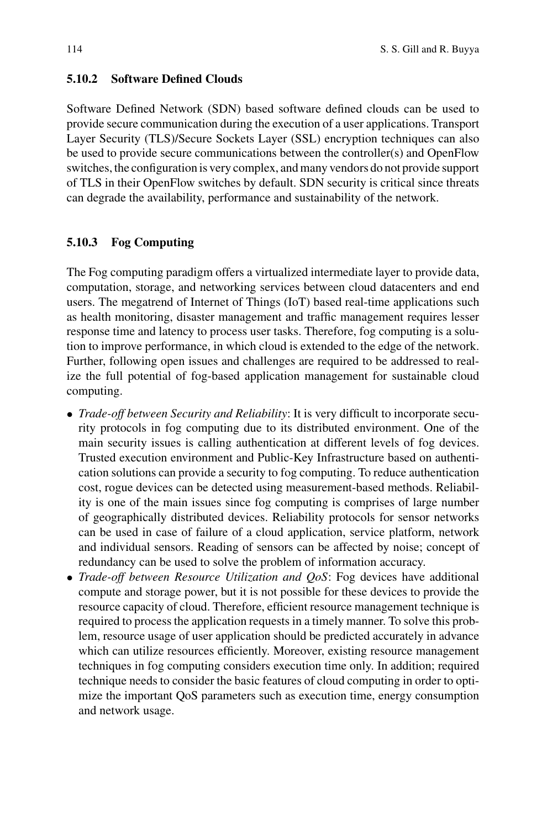#### **5.10.2 Software Defined Clouds**

Software Defined Network (SDN) based software defined clouds can be used to provide secure communication during the execution of a user applications. Transport Layer Security (TLS)/Secure Sockets Layer (SSL) encryption techniques can also be used to provide secure communications between the controller(s) and OpenFlow switches, the configuration is very complex, and many vendors do not provide support of TLS in their OpenFlow switches by default. SDN security is critical since threats can degrade the availability, performance and sustainability of the network.

#### **5.10.3 Fog Computing**

The Fog computing paradigm offers a virtualized intermediate layer to provide data, computation, storage, and networking services between cloud datacenters and end users. The megatrend of Internet of Things (IoT) based real-time applications such as health monitoring, disaster management and traffic management requires lesser response time and latency to process user tasks. Therefore, fog computing is a solution to improve performance, in which cloud is extended to the edge of the network. Further, following open issues and challenges are required to be addressed to realize the full potential of fog-based application management for sustainable cloud computing.

- *Trade-off between Security and Reliability*: It is very difficult to incorporate security protocols in fog computing due to its distributed environment. One of the main security issues is calling authentication at different levels of fog devices. Trusted execution environment and Public-Key Infrastructure based on authentication solutions can provide a security to fog computing. To reduce authentication cost, rogue devices can be detected using measurement-based methods. Reliability is one of the main issues since fog computing is comprises of large number of geographically distributed devices. Reliability protocols for sensor networks can be used in case of failure of a cloud application, service platform, network and individual sensors. Reading of sensors can be affected by noise; concept of redundancy can be used to solve the problem of information accuracy.
- *Trade-off between Resource Utilization and QoS*: Fog devices have additional compute and storage power, but it is not possible for these devices to provide the resource capacity of cloud. Therefore, efficient resource management technique is required to process the application requests in a timely manner. To solve this problem, resource usage of user application should be predicted accurately in advance which can utilize resources efficiently. Moreover, existing resource management techniques in fog computing considers execution time only. In addition; required technique needs to consider the basic features of cloud computing in order to optimize the important QoS parameters such as execution time, energy consumption and network usage.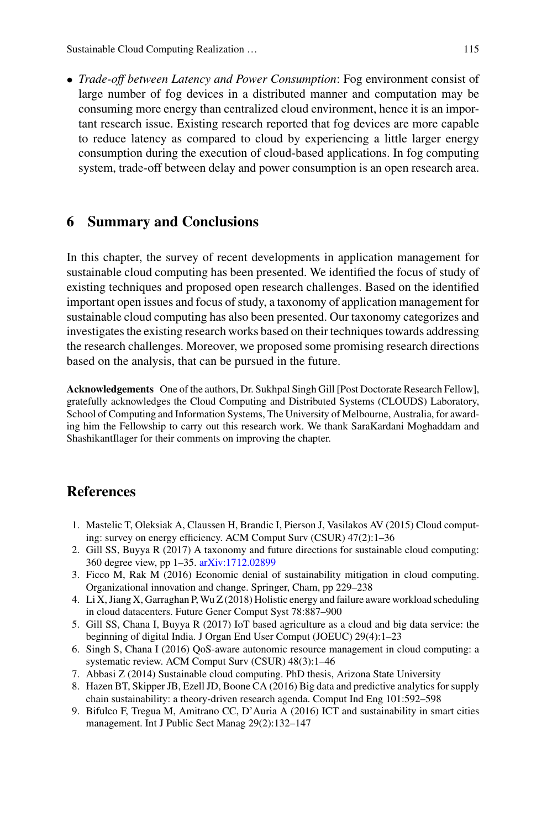Sustainable Cloud Computing Realization … 115

• *Trade-off between Latency and Power Consumption*: Fog environment consist of large number of fog devices in a distributed manner and computation may be consuming more energy than centralized cloud environment, hence it is an important research issue. Existing research reported that fog devices are more capable to reduce latency as compared to cloud by experiencing a little larger energy consumption during the execution of cloud-based applications. In fog computing system, trade-off between delay and power consumption is an open research area.

#### **6 Summary and Conclusions**

In this chapter, the survey of recent developments in application management for sustainable cloud computing has been presented. We identified the focus of study of existing techniques and proposed open research challenges. Based on the identified important open issues and focus of study, a taxonomy of application management for sustainable cloud computing has also been presented. Our taxonomy categorizes and investigates the existing research works based on their techniques towards addressing the research challenges. Moreover, we proposed some promising research directions based on the analysis, that can be pursued in the future.

**Acknowledgements** One of the authors, Dr. Sukhpal Singh Gill [Post Doctorate Research Fellow], gratefully acknowledges the Cloud Computing and Distributed Systems (CLOUDS) Laboratory, School of Computing and Information Systems, The University of Melbourne, Australia, for awarding him the Fellowship to carry out this research work. We thank SaraKardani Moghaddam and ShashikantIlager for their comments on improving the chapter.

#### **References**

- <span id="page-20-0"></span>1. Mastelic T, Oleksiak A, Claussen H, Brandic I, Pierson J, Vasilakos AV (2015) Cloud computing: survey on energy efficiency. ACM Comput Surv (CSUR) 47(2):1–36
- <span id="page-20-1"></span>2. Gill SS, Buyya R (2017) A taxonomy and future directions for sustainable cloud computing: 360 degree view, pp 1–35. [arXiv:1712.02899](http://arxiv.org/abs/1712.02899)
- <span id="page-20-2"></span>3. Ficco M, Rak M (2016) Economic denial of sustainability mitigation in cloud computing. Organizational innovation and change. Springer, Cham, pp 229–238
- <span id="page-20-3"></span>4. Li X, Jiang X, Garraghan P, Wu Z (2018) Holistic energy and failure aware workload scheduling in cloud datacenters. Future Gener Comput Syst 78:887–900
- <span id="page-20-4"></span>5. Gill SS, Chana I, Buyya R (2017) IoT based agriculture as a cloud and big data service: the beginning of digital India. J Organ End User Comput (JOEUC) 29(4):1–23
- <span id="page-20-5"></span>6. Singh S, Chana I (2016) QoS-aware autonomic resource management in cloud computing: a systematic review. ACM Comput Surv (CSUR) 48(3):1–46
- <span id="page-20-6"></span>7. Abbasi Z (2014) Sustainable cloud computing. PhD thesis, Arizona State University
- <span id="page-20-7"></span>8. Hazen BT, Skipper JB, Ezell JD, Boone CA (2016) Big data and predictive analytics for supply chain sustainability: a theory-driven research agenda. Comput Ind Eng 101:592–598
- <span id="page-20-8"></span>9. Bifulco F, Tregua M, Amitrano CC, D'Auria A (2016) ICT and sustainability in smart cities management. Int J Public Sect Manag 29(2):132–147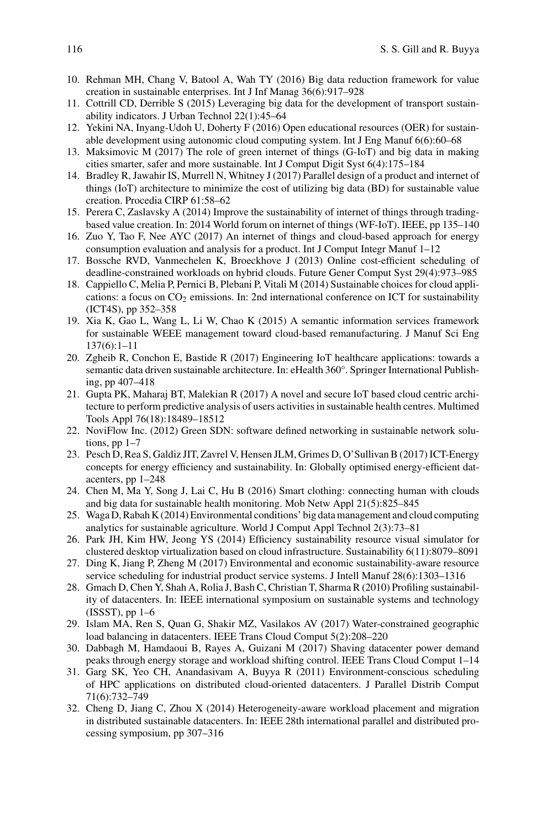- <span id="page-21-0"></span>10. Rehman MH, Chang V, Batool A, Wah TY (2016) Big data reduction framework for value creation in sustainable enterprises. Int J Inf Manag 36(6):917–928
- <span id="page-21-1"></span>11. Cottrill CD, Derrible S (2015) Leveraging big data for the development of transport sustainability indicators. J Urban Technol 22(1):45–64
- <span id="page-21-2"></span>12. Yekini NA, Inyang-Udoh U, Doherty F (2016) Open educational resources (OER) for sustainable development using autonomic cloud computing system. Int J Eng Manuf 6(6):60–68
- <span id="page-21-3"></span>13. Maksimovic M (2017) The role of green internet of things (G-IoT) and big data in making cities smarter, safer and more sustainable. Int J Comput Digit Syst 6(4):175–184
- <span id="page-21-4"></span>14. Bradley R, Jawahir IS, Murrell N, Whitney J (2017) Parallel design of a product and internet of things (IoT) architecture to minimize the cost of utilizing big data (BD) for sustainable value creation. Procedia CIRP 61:58–62
- <span id="page-21-5"></span>15. Perera C, Zaslavsky A (2014) Improve the sustainability of internet of things through tradingbased value creation. In: 2014 World forum on internet of things (WF-IoT). IEEE, pp 135–140
- <span id="page-21-6"></span>16. Zuo Y, Tao F, Nee AYC (2017) An internet of things and cloud-based approach for energy consumption evaluation and analysis for a product. Int J Comput Integr Manuf 1–12
- <span id="page-21-7"></span>17. Bossche RVD, Vanmechelen K, Broeckhove J (2013) Online cost-efficient scheduling of deadline-constrained workloads on hybrid clouds. Future Gener Comput Syst 29(4):973–985
- <span id="page-21-8"></span>18. Cappiello C, Melia P, Pernici B, Plebani P, Vitali M (2014) Sustainable choices for cloud applications: a focus on  $CO<sub>2</sub>$  emissions. In: 2nd international conference on ICT for sustainability (ICT4S), pp 352–358
- <span id="page-21-9"></span>19. Xia K, Gao L, Wang L, Li W, Chao K (2015) A semantic information services framework for sustainable WEEE management toward cloud-based remanufacturing. J Manuf Sci Eng 137(6):1–11
- <span id="page-21-10"></span>20. Zgheib R, Conchon E, Bastide R (2017) Engineering IoT healthcare applications: towards a semantic data driven sustainable architecture. In: eHealth 360°. Springer International Publishing, pp 407–418
- <span id="page-21-11"></span>21. Gupta PK, Maharaj BT, Malekian R (2017) A novel and secure IoT based cloud centric architecture to perform predictive analysis of users activities in sustainable health centres. Multimed Tools Appl 76(18):18489–18512
- <span id="page-21-12"></span>22. NoviFlow Inc. (2012) Green SDN: software defined networking in sustainable network solutions,  $pp 1-7$
- <span id="page-21-13"></span>23. Pesch D, Rea S, Galdiz JIT, Zavrel V, Hensen JLM, Grimes D, O'Sullivan B (2017) ICT-Energy concepts for energy efficiency and sustainability. In: Globally optimised energy-efficient datacenters, pp 1–248
- <span id="page-21-14"></span>24. Chen M, Ma Y, Song J, Lai C, Hu B (2016) Smart clothing: connecting human with clouds and big data for sustainable health monitoring. Mob Netw Appl 21(5):825–845
- <span id="page-21-15"></span>25. Waga D, Rabah K (2014) Environmental conditions' big data management and cloud computing analytics for sustainable agriculture. World J Comput Appl Technol 2(3):73–81
- <span id="page-21-16"></span>26. Park JH, Kim HW, Jeong YS (2014) Efficiency sustainability resource visual simulator for clustered desktop virtualization based on cloud infrastructure. Sustainability 6(11):8079–8091
- <span id="page-21-17"></span>27. Ding K, Jiang P, Zheng M (2017) Environmental and economic sustainability-aware resource service scheduling for industrial product service systems. J Intell Manuf 28(6):1303–1316
- <span id="page-21-18"></span>28. Gmach D, Chen Y, Shah A, Rolia J, Bash C, Christian T, Sharma R (2010) Profiling sustainability of datacenters. In: IEEE international symposium on sustainable systems and technology (ISSST), pp 1–6
- <span id="page-21-19"></span>29. Islam MA, Ren S, Quan G, Shakir MZ, Vasilakos AV (2017) Water-constrained geographic load balancing in datacenters. IEEE Trans Cloud Comput 5(2):208–220
- <span id="page-21-20"></span>30. Dabbagh M, Hamdaoui B, Rayes A, Guizani M (2017) Shaving datacenter power demand peaks through energy storage and workload shifting control. IEEE Trans Cloud Comput 1–14
- <span id="page-21-21"></span>31. Garg SK, Yeo CH, Anandasivam A, Buyya R (2011) Environment-conscious scheduling of HPC applications on distributed cloud-oriented datacenters. J Parallel Distrib Comput 71(6):732–749
- <span id="page-21-22"></span>32. Cheng D, Jiang C, Zhou X (2014) Heterogeneity-aware workload placement and migration in distributed sustainable datacenters. In: IEEE 28th international parallel and distributed processing symposium, pp 307–316